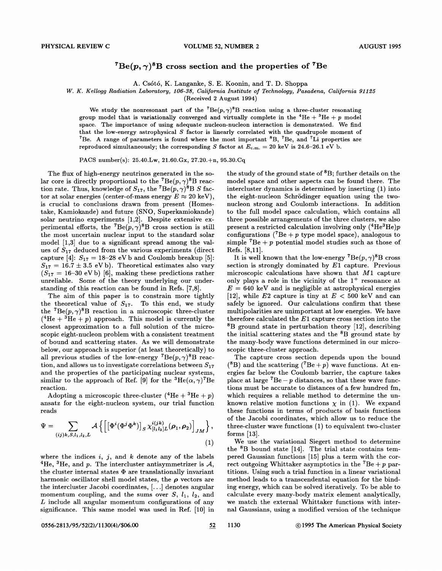## ${}^{7}Be(p,\gamma){}^{8}B$  cross section and the properties of <sup>7</sup>Be

A. Cs6t6, K. Langanke, S. E. Koonin, and T. D. Shoppa

*W. K. Kellogg Radiation Laboratory, 106-38, California Institute of Technology, Pasadena, California 91125* 

(Received 2 August 1994)

We study the nonresonant part of the <sup>7</sup>Be( $p, \gamma$ )<sup>8</sup>B reaction using a three-cluster resonating group model that is variationally converged and virtually complete in the  ${}^{4}$ He +  ${}^{3}$ He +  $p$  model space. The importance of using adequate nucleon-nucleon interaction is demonstrated. We find that the low-energy astrophysical *S* factor is linearly correlated with the quadrupole moment of <sup>7</sup>Be. A range of parameters is found where the most important  ${}^{8}B$ , <sup>7</sup>Be, and <sup>7</sup>Li properties are reproduced simultaneously; the corresponding *S* factor at  $E_{c.m.} = 20 \text{ keV}$  is 24.6-26.1 eV b.

PACS number(s): 25.40.Lw, 21.60.Gx, 27.20.+n, 95.30.Cq

The flux of high-energy neutrinos generated in the solar core is directly proportional to the  $^7Be(p,\gamma)^8B$  reaction rate. Thus, knowledge of  $S_{17}$ , the <sup>7</sup>Be(p,  $\gamma$ )<sup>8</sup>B *S* factor at solar energies (center-of-mass energy  $E \approx 20 \text{ keV}$ ). is crucial to conclusions drawn from present (Homestake, Kamiokande) and future (SNO, Superkamiokande) solar neutrino experiments [1,2]. Despite extensive experimental efforts, the <sup>7</sup>Be( $p, \gamma$ )<sup>8</sup>B cross section is still the most uncertain nuclear input to the standard solar model [1,3] due to a significant spread among the values of  $S_{17}$  deduced from the various experiments (direct capture [4]:  $S_{17} = 18-28$  eVb and Coulomb breakup [5]:  $S_{17} = 16.7 \pm 3.5$  eVb). Theoretical estimates also vary  $(S_{17} = 16-30 \text{ eV b})$  [6], making these predictions rather unreliable. Some of the theory underlying our understanding of this reaction can be found in Refs. [7,8].

The aim of this paper is to constrain more tightly the theoretical value of  $S_{17}$ . To this end, we study the <sup>7</sup>Be( $p, \gamma$ )<sup>8</sup>B reaction in a microscopic three-cluster  $(^{4}He + {}^{3}He + p)$  approach. This model is currently the closest approximation to a full solution of the microscopic eight-nucleon problem with a consistent treatment of bound and scattering states. As we will demonstrate below, our approach is superior (at least theoretically) to all previous studies of the low-energy  $^7Be(p, \gamma)^8B$  reaction, and allows us to investigate correlations between  $S_{17}$ and the properties of the participating nuclear systems, similar to the approach of Ref. [9] for the  ${}^{3}He(\alpha, \gamma)$ <sup>7</sup>Be reaction.

Adopting a microscopic three-cluster  $(^{4}He + {}^{3}He + p)$ ansatz for the eight-nucleon system, our trial function reads

$$
\Psi = \sum_{(ij)k, S, l_1, l_2, L} \mathcal{A}\left\{ \left[ \left[ \Phi^i (\Phi^j \Phi^k) \right]_S \chi^{i(jk)}_{[l_1 l_2]L}(\boldsymbol{\rho}_1, \boldsymbol{\rho}_2) \right]_{JM} \right\},\tag{1}
$$

where the indices i, j, and k denote any of the labels  ${}^{4}$ He,  ${}^{3}$ He, and p. The intercluster antisymmetrizer is A, the cluster internal states  $\Phi$  are translationally invariant harmonic oscillator shell model states, the  $\rho$  vectors are the intercluster Jacobi coordinates,  $[...]$  denotes angular momentum coupling, and the sums over  $S$ ,  $l_1$ ,  $l_2$ , and  $L$  include all angular momentum configurations of any significance. This same model was used in Ref. [10] in the study of the ground state of  ${}^{8}B$ ; further details on the model space and other aspects can be found there. The intercluster dynamics is determined by inserting (1) into the eight-nucleon Schrodinger equation using the twonucleon strong and Coulomb interactions. In addition to the full model space calculation, which contains all three possible arrangements of the three clusters, we also present a restricted calculation involving only (4He3He *)p*  configurations ( ${}^{7}Be + p$  type model space), analogous to simple  ${}^{7}Be + p$  potential model studies such as those of Refs. [8,11].

It is well known that the low-energy  ${}^{7}Be(p,\gamma)^{8}B$  cross section is strongly dominated by E1 capture. Previous microscopic calculations have shown that  $M1$  capture only plays a role in the vicinity of the  $1^+$  resonance at  $E = 640 \text{ keV}$  and is negligible at astrophysical energies [12], while  $E2$  capture is tiny at  $E < 500$  keV and can safely be ignored. Our calculations confirm that these multipolarities are unimportant at low energies. We have therefore calculated the E1 capture cross section into the 8B ground state in perturbation theory [12], describing the initial scattering states and the  ${}^{8}B$  ground state by the many-body wave functions determined in our microscopic three-cluster approach.

The capture cross section depends upon the bound  $(^{8}B)$  and the scattering  $(^{7}Be + p)$  wave functions. At energies far below the Coulomb barrier, the capture takes place at large  ${}^{7}Be - p$  distances, so that these wave functions must be accurate to distances of a few hundred fm, which requires a reliable method to determine the unknown relative motion functions  $\chi$  in (1). We expand these functions in terms of products of basis functions of the Jacobi coordinates, which allow us to reduce the three-cluster wave functions (1) to equivalent two-cluster forms [13].

We use the variational Siegert method to determine the 8B bound state [14]. The trial state contains tempered Gaussian functions [15] plus a term with the correct outgoing Whittaker asymptotics in the  ${}^{7}Be + p$  partitions. Using such a trial function in a linear variational method leads to a transcendental equation for the binding energy, which can be solved iteratively. To be able to calculate every many-body matrix element analytically, we match the external Whittaker functions with internal Gaussians, using a modified version of the technique

0556-2813/95/52(2)/1130(4)/\$06.00 52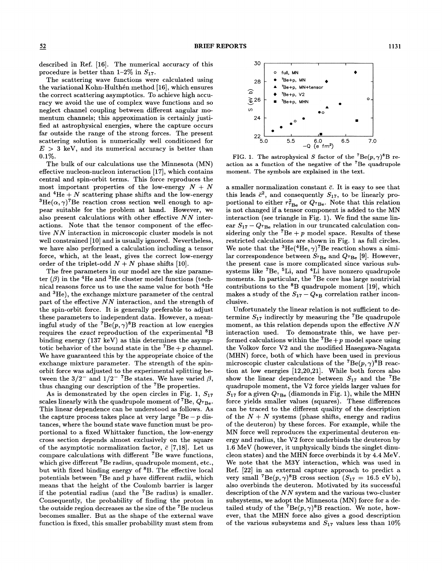described in Ref. (16]. The numerical accuracy of this procedure is better than 1-2% in *8*17.

The scattering wave functions were calculated using the variational Kohn-Hulthen method (16], which ensures the correct scattering asymptotics. To achieve high accuracy we avoid the use of complex wave functions and so neglect channel coupling between different angular momentum channels; this approximation is certainly justified at astrophysical energies, where the capture occurs far outside the range of the strong forces. The present scattering solution is numerically well conditioned for  $E > 3$  keV, and its numerical accuracy is better than 0.1%.

The bulk of our calculations use the Minnesota (MN) effective nucleon-nucleon interaction (17], which contains central and spin-orbit terms. This force reproduces the most important properties of the low-energy  $N + N$ and <sup>4</sup>He + N scattering phase shifts and the low-energy <sup>3</sup>He( $\alpha$ ,  $\gamma$ )<sup>7</sup>Be reaction cross section well enough to appear suitable for the problem at hand. However, we also present calculations with other effective *N N* interactions. Note that the tensor component of the effective  $NN$  interaction in microscopic cluster models is not well constrained (10] and is usually ignored. Nevertheless, we have also performed a calculation including a tensor force, which, at the least, gives the correct low-energy order of the triplet-odd  $N + N$  phase shifts [10].

The free parameters in our model are the size parameter  $(\beta)$  in the <sup>4</sup>He and <sup>3</sup>He cluster model functions (technical reasons force us to use the same value for both 4He and 3He), the exchange mixture parameter of the central part of the effective  $NN$  interaction, and the strength of the spin-orbit force. It is generally preferable to adjust these parameters to independent data. However, a meaningful study of the <sup>7</sup>Be( $p, \gamma$ )<sup>8</sup>B reaction at low energies requires the *exact* reproduction of the experimental 8B binding energy (137 keV) as this determines the asymptotic behavior of the bound state in the  ${}^{7}Be + p$  channel. We have guaranteed this by the appropriate choice of the exchange mixture parameter. The strength of the spinorbit force was adjusted to the experimental splitting between the  $3/2^-$  and  $1/2^-$  <sup>7</sup>Be states. We have varied  $\beta$ , thus changing our description of the 7Be properties.

As is demonstrated by the open circles in Fig. 1,  $S_{17}$ scales linearly with the quadrupole moment of 7Be, *Q7Be·*  This linear dependence can be understood as follows. As the capture process takes place at very large  $^7Be - p$  distances, where the bound state wave function must be proportional to a fixed Whittaker function, the low-energy cross section depends almost exclusively on the square of the asymptotic normalization factor,  $\bar{c}$  [7,18]. Let us compare calculations with different 7Be wave functions, which give different <sup>7</sup>Be radius, quadrupole moment, etc., but with fixed binding energy of 8B. The effective local potentials between  ${}^{7}$ Be and p have different radii, which means that the height of the Coulomb barrier is larger if the potential radius (and the  $^7$ Be radius) is smaller. Consequently, the probability of finding the proton in the outside region decreases as the size of the 7Be nucleus becomes smaller. But as the shape of the external wave function is fixed, this smaller probability must stem from



FIG. 1. The astrophysical *S* factor of the <sup>7</sup>Be( $p, \gamma$ )<sup>8</sup>B reaction as a function of the negative of the 7Be quadrupole moment. The symbols are explained in the text.

a smaller normalization constant  $\bar{c}$ . It is easy to see that this leads  $\bar{c}^2$ , and consequently  $S_{17}$ , to be linearly proportional to either  $r_{\text{7B}_e}^2$  or  $Q_{\text{7Be}}$ . Note that this relation is not changed if a tensor component is added to the MN interaction (see triangle in Fig. 1). We find the same linear  $S_{17} - Q_{7Be}$  relation in our truncated calculation considering only the  ${}^{7}Be + p$  model space. Results of these restricted calculations are shown in Fig. 1 as full circles. We note that the <sup>3</sup>He(<sup>4</sup>He,  $\gamma$ )<sup>7</sup>Be reaction shows a similar correspondence between  $S_{^7\text{Be}}$  and  $Q_{^7\text{Be}}$  [9]. However, the present case is more complicated since various subsystems like 7Be, 5Li, and 4Li have nonzero quadrupole moments. In particular, the 7Be core has large nontrivial contributions to the 8B quadrupole moment (19], which makes a study of the  $S_{17}-Q_{8}$  correlation rather inconclusive.

Unfortunately the linear relation is not sufficient to determine  $S_{17}$  indirectly by measuring the <sup>7</sup>Be quadrupole moment, as this relation depends upon the effective  $NN$ interaction used. To demonstrate this, we have performed calculations within the  ${}^{7}Be + p$  model space using the Volkov force V2 and the modified Hasegawa-Nagata (MHN) force, both of which have been used in previous microscopic cluster calculations of the <sup>7</sup>Be( $p, \gamma$ <sup>8</sup>B reaction at low energies (12,20,21]. While both forces also show the linear dependence between  $S_{17}$  and the <sup>7</sup>Be quadrupole moment, the V2 force yields larger values for  $S_{17}$  for a given  $Q_{^7\text{Be}}$  (diamonds in Fig. 1), while the MHN force yields smaller values (squares). These differences can be traced to the different quality of the description of the  $N + N$  systems (phase shifts, energy and radius of the deuteron) by these forces. For example, while the MN force well reproduces the experimental deuteron energy and radius, the V2 force underbinds the deuteron by 1.6 MeV (however, it unphysically binds the singlet dinucleon states) and the MHN force overbinds it by 4.4 MeV. We note that the M3Y interaction, which was used in Ref. [22] in an external capture approach to predict a very small <sup>7</sup>Be(p,  $\gamma$ )<sup>8</sup>B cross section ( $S_{17} = 16.5$  eVb), also overbinds the deuteron. Motivated by its successful description of the  $NN$  system and the various two-cluster subsystems, we adopt the Minnesota (MN) force for a detailed study of the <sup>7</sup>Be( $p, \gamma$ )<sup>8</sup>B reaction. We note, however, that the MHN force also gives a good description of the various subsystems and  $S_{17}$  values less than 10%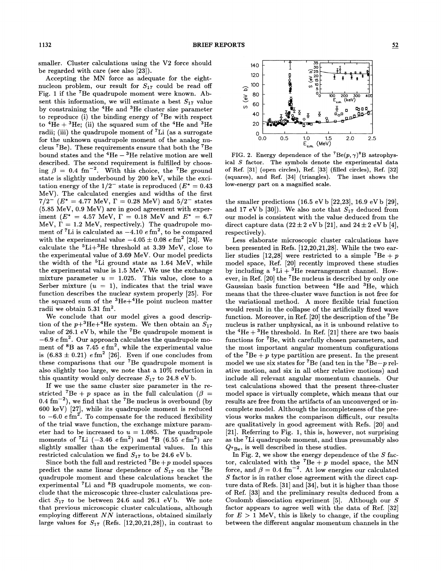smaller. Cluster ca]culations using the V2 force should be regarded with care (see also [23]).

Accepting .the MN force as adequate for the eightnucleon problem, our result for  $S_{17}$  could be read off Fig. 1 if the 7Be quadrupole moment were known. Absent this information, we will estimate a best  $S_{17}$  value by constraining the 4He and 3He cluster size parameter to reproduce (i) the binding energy of 7Be with respect to  ${}^{4}$ He +  ${}^{3}$ He; (ii) the squared sum of the  ${}^{4}$ He and  ${}^{3}$ He radii; (iii) the quadrupole moment of  ${}^{7}$ Li (as a surrogate for the unknown quadrupole moment of the analog nucleus 7Be). These requirements ensure that both the 7Be bound states and the  ${}^{4}$ He  $- {}^{3}$ He relative motion are well described. The second requirement is fulfilled by choosing  $\beta = 0.4$  fm<sup>-2</sup>. With this choice, the <sup>7</sup>Be ground state is slightly underbound by 200 keV, while the excitation energy of the  $1/2^-$  state is reproduced ( $E^* = 0.43$ ) MeV). The calculated energies and widths of the first  $7/2^ (E^* = 4.77 \text{ MeV}, \Gamma = 0.28 \text{ MeV})$  and  $5/2^-$  states (5.85 MeV, 0.9 MeV) are in good agreement with experiment ( $E^* = 4.57 \text{ MeV}$ ,  $\Gamma = 0.18 \text{ MeV}$  and  $E^* = 6.7$ MeV,  $\dot{\Gamma} = 1.2$  MeV, respectively.) The quadrupole moment of <sup>7</sup>Li is calculated as  $-4.10 \text{ } e \text{ fm}^2$ , to be compared with the experimental value  $-4.05 \pm 0.08$  *e* fm<sup>2</sup> [24]. We calculate the  ${}^{5}Li+{}^{3}He$  threshold at 3.39 MeV, close to the experimental value of 3.69 MeV. Our model predicts the width of the  ${}^{5}$ Li ground state as 1.64 MeV, while the experimental value is 1.5 MeV. We use the exchange mixture parameter  $u = 1.025$ . This value, close to a Serber mixture  $(u = 1)$ , indicates that the trial wave function describes the nuclear system properly [25]. For the squared sum of the  ${}^{3}He+{}^{4}He$  point nucleon matter radii we obtain  $5.31 \text{ fm}^2$ .

We conclude that our model gives a good description of the  $p+{}^3\text{He}+{}^4\text{He}$  system. We then obtain an  $S_{17}$ value of 26.1 eVb, while the <sup>7</sup>Be quadrupole moment is  $-6.9 e fm<sup>2</sup>$ . Our approach calculates the quadrupole moment of  ${}^{8}B$  as 7.45  $e \text{ fm}^{2}$ , while the experimental value is  $(6.83 \pm 0.21)$  *e* fm<sup>2</sup> [26]. Even if one concludes from these comparisons that our 7Be quadrupole moment is also slightly too large, we note that a 10% reduction in this quantity would only decrease  $S_{17}$  to 24.8 eV b.

If we use the same cluster size parameter in the restricted <sup>7</sup>Be + p space as in the full calculation ( $\beta$  =  $0.4~\mathrm{fm}^{-2}$ ), we find that the <sup>7</sup>Be nucleus is overbound (by 600 keV)  $[27]$ , while its quadrupole moment is reduced to  $-6.0 e \text{fm}^2$ . To compensate for the reduced flexibility of the trial wave function, the exchange mixture parameter had to be increased to  $u = 1.085$ . The quadrupole moments of <sup>7</sup>Li  $(-3.46$   $e \text{ fm}^2)$  and <sup>8</sup>B  $(6.55$   $e \text{ fm}^2)$  are slightly smaller than the experimental values. In this restricted calculation we find  $S_{17}$  to be 24.6 eV b.

Since both the full and restricted  $^7Be + p$  model spaces predict the same linear dependence of  $S_{17}$  on the <sup>7</sup>Be quadrupole moment and these calculations bracket the experimental <sup>7</sup>Li and <sup>8</sup>B quadrupole moments, we conclude that the microscopic three-cluster calculations predict  $S_{17}$  to be between 24.6 and 26.1 eVb. We note that previous microscopic cluster calculations, although employing different NN interactions, obtained similarly large values for  $S_{17}$  (Refs. [12,20,21,28]), in contrast to



FIG. 2. Energy dependence of the <sup>7</sup>Be( $p, \gamma$ )<sup>8</sup>B astrophysical *S* factor. The symbols denote the experimental data of Ref. [31] (open circles), Ref. [33] {filled circles), Ref. [32] (squares), and Ref. [34] (triangles). The inset shows the low-energy part on a magnified scale.

the smaller predictions  $(16.5 \text{ eV b } [22,23], 16.9 \text{ eV b } [29],$ and 17 eV b [30]). We also note that  $S_{17}$  deduced from our model is consistent with the value deduced from the direct capture data (22  $\pm$  2 eV b [21], and 24  $\pm$  2 eV b [4], respectively).

Less elaborate microscopic cluster calculations have been presented in Refs. [12,20,21,28]. While the two earlier studies [12,28] were restricted to a simple <sup>7</sup>Be + p model space, Ref. [20] recently improved these studies by including a  ${}^{5}$ Li +  ${}^{3}$ He rearrangement channel. However, in Ref. [20] the 7Be nucleus is described by only one Gaussian basis function between <sup>4</sup>He and <sup>3</sup>He, which means that the three-cluster wave function is not free for the variational method. A more flexible trial function would result in the collapse of the artificially fixed wave function. Moreover, in Ref. [20] the description of the 7Be nucleus is rather unphysical, as it is unbound relative to the  ${}^{4}$ He +  ${}^{3}$ He threshold. In Ref. [21] there are two basis functions for 7Be, with carefully chosen parameters, and the most important angular momentum configurations of the  ${}^{7}Be + p$  type partition are present. In the present model we use six states for 7Be (and ten in the *7Be-p* relative motion, and six in all other relative motions) and include all relevant angular momentum channels. Our test calculations showed that the present three-cluster model space is virtually complete, which means that our results are free from the artifacts of an unconverged or incomplete model. Although the incompleteness of the previous works makes the comparison difficult, our results are qualitatively in good agreement with Refs. [20] and [21]. Referring to Fig. 1, this is, however, not surprising as the 7Li quadrupole moment, and thus presumably also  $Q_{^7\text{Be}}$ , is well described in these studies.

In Fig. 2, we show the energy dependence of the  $S$  factor, calculated with the  ${}^{7}Be + p$  model space, the MN force, and  $\beta = 0.4$  fm<sup>-2</sup>. At low energies our calculated *8* factor is in rather close agreement with the direct capture data of Refs. [31] and [34], but it is higher than those of Ref. [33] and the preliminary results deduced from a Coulomb dissociation experiment  $[5]$ . Although our  $S$ factor appears to agree well with the data of Ref. [32] for  $E > 1$  MeV, this is likely to change, if the coupling between the different angular momentum channels in the